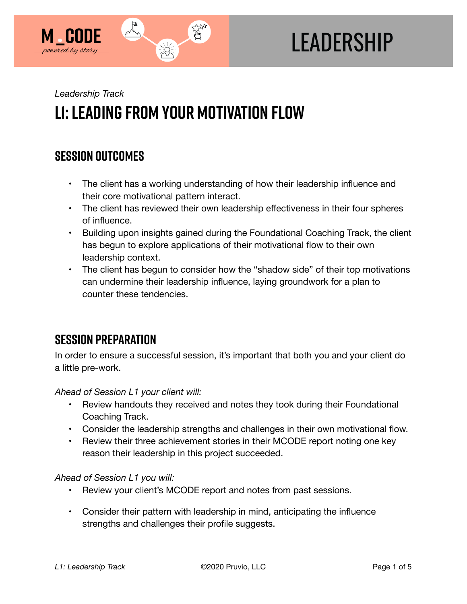

# **LEADERSHIP**

*Leadership Track* 

## **l1: Leading from Your Motivation Flow**

## **SESSION OUTCOMES**

- The client has a working understanding of how their leadership influence and their core motivational pattern interact.
- The client has reviewed their own leadership effectiveness in their four spheres of influence.
- Building upon insights gained during the Foundational Coaching Track, the client has begun to explore applications of their motivational flow to their own leadership context.
- The client has begun to consider how the "shadow side" of their top motivations can undermine their leadership influence, laying groundwork for a plan to counter these tendencies.

## **SESSION PREPARATION**

In order to ensure a successful session, it's important that both you and your client do a little pre-work.

*Ahead of Session L1 your client will:* 

- Review handouts they received and notes they took during their Foundational Coaching Track.
- Consider the leadership strengths and challenges in their own motivational flow.
- Review their three achievement stories in their MCODE report noting one key reason their leadership in this project succeeded.

*Ahead of Session L1 you will:* 

- Review your client's MCODE report and notes from past sessions.
- Consider their pattern with leadership in mind, anticipating the influence strengths and challenges their profile suggests.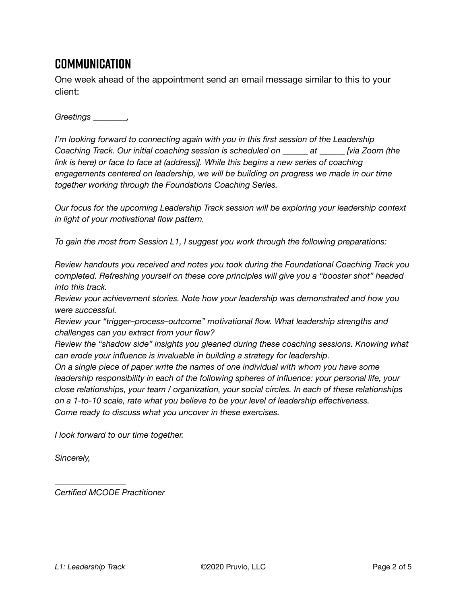## **Communication**

One week ahead of the appointment send an email message similar to this to your client:

*Greetings \_\_\_\_\_\_\_\_,* 

*I'm looking forward to connecting again with you in this first session of the Leadership Coaching Track. Our initial coaching session is scheduled on \_\_\_\_\_\_ at \_\_\_\_\_\_ [via Zoom (the*  link is here) or face to face at (address)]. While this begins a new series of coaching *engagements centered on leadership, we will be building on progress we made in our time together working through the Foundations Coaching Series.* 

*Our focus for the upcoming Leadership Track session will be exploring your leadership context in light of your motivational flow pattern.* 

*To gain the most from Session L1, I suggest you work through the following preparations:* 

*Review handouts you received and notes you took during the Foundational Coaching Track you completed. Refreshing yourself on these core principles will give you a "booster shot" headed into this track.* 

*Review your achievement stories. Note how your leadership was demonstrated and how you were successful.* 

*Review your "trigger–process–outcome" motivational flow. What leadership strengths and challenges can you extract from your flow?* 

*Review the "shadow side" insights you gleaned during these coaching sessions. Knowing what can erode your influence is invaluable in building a strategy for leadership.* 

*On a single piece of paper write the names of one individual with whom you have some leadership responsibility in each of the following spheres of influence: your personal life, your close relationships, your team / organization, your social circles. In each of these relationships on a 1-to-10 scale, rate what you believe to be your level of leadership effectiveness. Come ready to discuss what you uncover in these exercises.* 

*I look forward to our time together.* 

*Sincerely,* 

*Certified MCODE Practitioner*

*\_\_\_\_\_\_\_\_\_\_\_\_\_\_\_\_\_*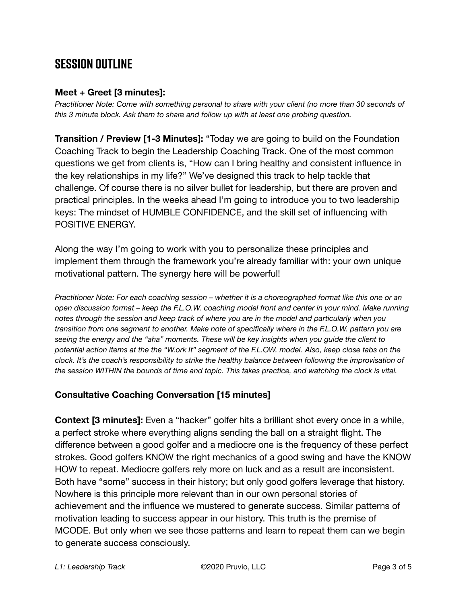## **SESSION OUTLINE**

#### **Meet + Greet [3 minutes]:**

*Practitioner Note: Come with something personal to share with your client (no more than 30 seconds of this 3 minute block. Ask them to share and follow up with at least one probing question.* 

**Transition / Preview [1-3 Minutes]:** "Today we are going to build on the Foundation Coaching Track to begin the Leadership Coaching Track. One of the most common questions we get from clients is, "How can I bring healthy and consistent influence in the key relationships in my life?" We've designed this track to help tackle that challenge. Of course there is no silver bullet for leadership, but there are proven and practical principles. In the weeks ahead I'm going to introduce you to two leadership keys: The mindset of HUMBLE CONFIDENCE, and the skill set of influencing with POSITIVE ENERGY.

Along the way I'm going to work with you to personalize these principles and implement them through the framework you're already familiar with: your own unique motivational pattern. The synergy here will be powerful!

*Practitioner Note: For each coaching session – whether it is a choreographed format like this one or an open discussion format – keep the F.L.O.W. coaching model front and center in your mind. Make running notes through the session and keep track of where you are in the model and particularly when you transition from one segment to another. Make note of specifically where in the F.L.O.W. pattern you are seeing the energy and the "aha" moments. These will be key insights when you guide the client to potential action items at the the "W.ork It" segment of the F.L.OW. model. Also, keep close tabs on the clock. It's the coach's responsibility to strike the healthy balance between following the improvisation of the session WITHIN the bounds of time and topic. This takes practice, and watching the clock is vital.*

#### **Consultative Coaching Conversation [15 minutes]**

**Context [3 minutes]:** Even a "hacker" golfer hits a brilliant shot every once in a while, a perfect stroke where everything aligns sending the ball on a straight flight. The difference between a good golfer and a mediocre one is the frequency of these perfect strokes. Good golfers KNOW the right mechanics of a good swing and have the KNOW HOW to repeat. Mediocre golfers rely more on luck and as a result are inconsistent. Both have "some" success in their history; but only good golfers leverage that history. Nowhere is this principle more relevant than in our own personal stories of achievement and the influence we mustered to generate success. Similar patterns of motivation leading to success appear in our history. This truth is the premise of MCODE. But only when we see those patterns and learn to repeat them can we begin to generate success consciously.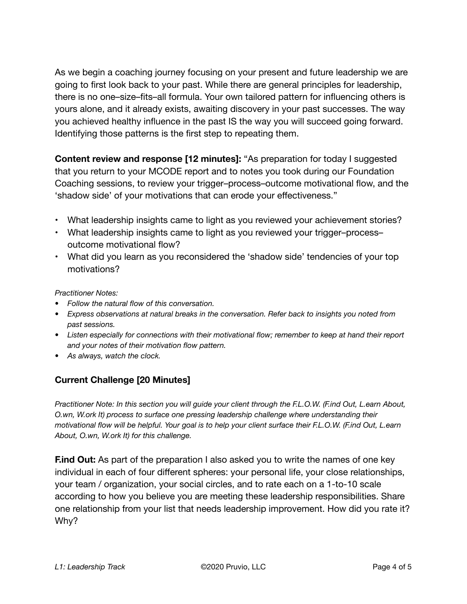As we begin a coaching journey focusing on your present and future leadership we are going to first look back to your past. While there are general principles for leadership, there is no one–size–fits–all formula. Your own tailored pattern for influencing others is yours alone, and it already exists, awaiting discovery in your past successes. The way you achieved healthy influence in the past IS the way you will succeed going forward. Identifying those patterns is the first step to repeating them.

**Content review and response [12 minutes]:** "As preparation for today I suggested that you return to your MCODE report and to notes you took during our Foundation Coaching sessions, to review your trigger–process–outcome motivational flow, and the 'shadow side' of your motivations that can erode your effectiveness."

- What leadership insights came to light as you reviewed your achievement stories?
- What leadership insights came to light as you reviewed your trigger–process– outcome motivational flow?
- What did you learn as you reconsidered the 'shadow side' tendencies of your top motivations?

*Practitioner Notes:* 

- *• Follow the natural flow of this conversation.*
- *• Express observations at natural breaks in the conversation. Refer back to insights you noted from past sessions.*
- *• Listen especially for connections with their motivational flow; remember to keep at hand their report and your notes of their motivation flow pattern.*
- *• As always, watch the clock.*

#### **Current Challenge [20 Minutes]**

*Practitioner Note: In this section you will guide your client through the F.L.O.W. (F.ind Out, L.earn About, O.wn, W.ork It) process to surface one pressing leadership challenge where understanding their motivational flow will be helpful. Your goal is to help your client surface their F.L.O.W. (F.ind Out, L.earn About, O.wn, W.ork It) for this challenge.* 

**Find Out:** As part of the preparation I also asked you to write the names of one key individual in each of four different spheres: your personal life, your close relationships, your team / organization, your social circles, and to rate each on a 1-to-10 scale according to how you believe you are meeting these leadership responsibilities. Share one relationship from your list that needs leadership improvement. How did you rate it? Why?